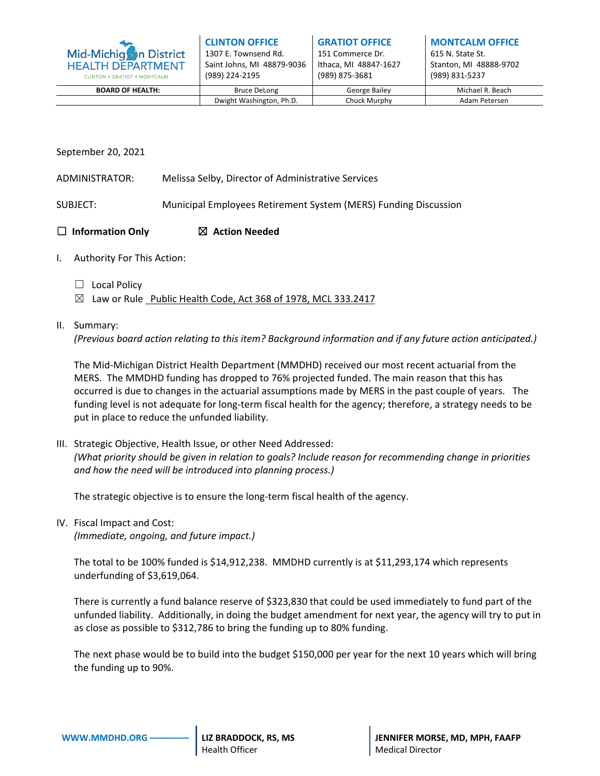| Mid-Michigh in District<br><b>HEALTH DEPARTMENT</b><br><b>CLINTON . GRATIOT . MONTCALM</b> | <b>CLINTON OFFICE</b><br>1307 E. Townsend Rd.<br>Saint Johns, MI 48879-9036<br>(989) 224-2195 | <b>GRATIOT OFFICE</b><br>151 Commerce Dr.<br>Ithaca, MI 48847-1627<br>(989) 875-3681 | <b>MONTCALM OFFICE</b><br>615 N. State St.<br>Stanton, MI 48888-9702<br>(989) 831-5237 |
|--------------------------------------------------------------------------------------------|-----------------------------------------------------------------------------------------------|--------------------------------------------------------------------------------------|----------------------------------------------------------------------------------------|
| <b>BOARD OF HEALTH:</b>                                                                    | <b>Bruce DeLong</b>                                                                           | George Bailey                                                                        | Michael R. Beach                                                                       |
|                                                                                            | Dwight Washington, Ph.D.                                                                      | Chuck Murphy                                                                         | Adam Petersen                                                                          |

## September 20, 2021

- ADMINISTRATOR: Melissa Selby, Director of Administrative Services
- SUBJECT: Municipal Employees Retirement System (MERS) Funding Discussion

## ☐ **Information Only** ☒ **Action Needed**

- I. Authority For This Action:
	- ☐ Local Policy
	- $\boxtimes$  Law or Rule Public Health Code, Act 368 of 1978, MCL 333.2417

## II. Summary:

*(Previous board action relating to this item? Background information and if any future action anticipated.)*

The Mid-Michigan District Health Department (MMDHD) received our most recent actuarial from the MERS. The MMDHD funding has dropped to 76% projected funded. The main reason that this has occurred is due to changes in the actuarial assumptions made by MERS in the past couple of years. The funding level is not adequate for long-term fiscal health for the agency; therefore, a strategy needs to be put in place to reduce the unfunded liability.

III. Strategic Objective, Health Issue, or other Need Addressed: *(What priority should be given in relation to goals? Include reason for recommending change in priorities and how the need will be introduced into planning process.)*

The strategic objective is to ensure the long-term fiscal health of the agency.

IV. Fiscal Impact and Cost:

*(Immediate, ongoing, and future impact.)*

The total to be 100% funded is \$14,912,238. MMDHD currently is at \$11,293,174 which represents underfunding of \$3,619,064.

There is currently a fund balance reserve of \$323,830 that could be used immediately to fund part of the unfunded liability. Additionally, in doing the budget amendment for next year, the agency will try to put in as close as possible to \$312,786 to bring the funding up to 80% funding.

The next phase would be to build into the budget \$150,000 per year for the next 10 years which will bring the funding up to 90%.